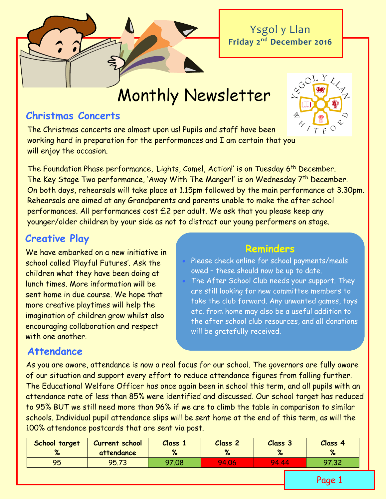Ysgol y Llan **Friday 2 nd December 2016**

Monthly Newsletter

### **Christmas Concerts**

The Christmas concerts are almost upon us! Pupils and staff have been working hard in preparation for the performances and I am certain that you will enjoy the occasion.



The Foundation Phase performance, 'Lights, Camel, Action!' is on Tuesday 6<sup>th</sup> December. The Key Stage Two performance, 'Away With The Manger!' is on Wednesday 7<sup>th</sup> December. On both days, rehearsals will take place at 1.15pm followed by the main performance at 3.30pm. Rehearsals are aimed at any Grandparents and parents unable to make the after school performances. All performances cost  $E2$  per adult. We ask that you please keep any younger/older children by your side as not to distract our young performers on stage.

## **Creative Play**

We have embarked on a new initiative in school called 'Playful Futures'. Ask the children what they have been doing at lunch times. More information will be sent home in due course. We hope that more creative playtimes will help the imagination of children grow whilst also encouraging collaboration and respect with one another.

### **Reminders**

 Please check online for school payments/meals owed – these should now be up to date. The After School Club needs your support. They are still looking for new committee members to take the club forward. Any unwanted games, toys etc. from home may also be a useful addition to the after school club resources, and all donations will be gratefully received.

# **Attendance**

As you are aware, attendance is now a real focus for our school. The governors are fully aware of our situation and support every effort to reduce attendance figures from falling further. The Educational Welfare Officer has once again been in school this term, and all pupils with an attendance rate of less than 85% were identified and discussed. Our school target has reduced to 95% BUT we still need more than 96% if we are to climb the table in comparison to similar schools. Individual pupil attendance slips will be sent home at the end of this term, as will the 100% attendance postcards that are sent via post.

| School target<br>61<br>$\sqrt{2}$ | <b>Current school</b><br>attendance | Class 1<br>$\mathbf{a}$ | Class <sub>2</sub><br>$\mathbf{a}$ | Class 3<br>$\bullet$<br>70 | Class 4<br>$\mathbf{O}$<br>70 |
|-----------------------------------|-------------------------------------|-------------------------|------------------------------------|----------------------------|-------------------------------|
| 95                                | 95.73                               | 97.08                   | 94.06                              | 94 A4                      | 97.32                         |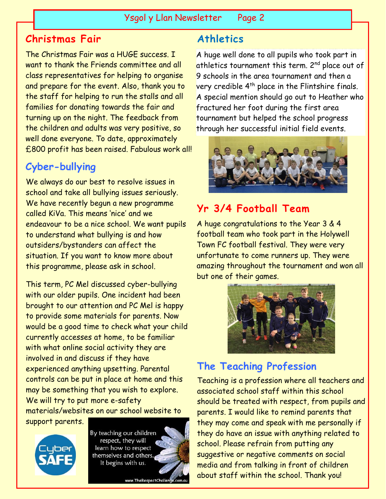## **Christmas Fair**

The Christmas Fair was a HUGE success. I want to thank the Friends committee and all class representatives for helping to organise and prepare for the event. Also, thank you to the staff for helping to run the stalls and all families for donating towards the fair and turning up on the night. The feedback from the children and adults was very positive, so well done everyone. To date, approximately £800 profit has been raised. Fabulous work all!

# **Cyber-bullying**

We always do our best to resolve issues in school and take all bullying issues seriously. We have recently begun a new programme called KiVa. This means 'nice' and we endeavour to be a nice school. We want pupils to understand what bullying is and how outsiders/bystanders can affect the situation. If you want to know more about this programme, please ask in school.

This term, PC Mel discussed cyber-bullying with our older pupils. One incident had been brought to our attention and PC Mel is happy to provide some materials for parents. Now would be a good time to check what your child currently accesses at home, to be familiar with what online social activity they are involved in and discuss if they have experienced anything upsetting. Parental controls can be put in place at home and this may be something that you wish to explore. We will try to put more e-safety materials/websites on our school website to support parents.



By teaching our children respect, they will learn how to respect themselves and others. It begins with us.

www.TheRespectChallenge.com.au

# **Athletics**

A huge well done to all pupils who took part in athletics tournament this term. 2<sup>nd</sup> place out of 9 schools in the area tournament and then a very credible 4<sup>th</sup> place in the Flintshire finals. A special mention should go out to Heather who fractured her foot during the first area tournament but helped the school progress through her successful initial field events.



# **Yr 3/4 Football Team**

A huge congratulations to the Year 3 & 4 football team who took part in the Holywell Town FC football festival. They were very unfortunate to come runners up. They were amazing throughout the tournament and won all but one of their games.



# **The Teaching Profession**

Teaching is a profession where all teachers and associated school staff within this school should be treated with respect, from pupils and parents. I would like to remind parents that they may come and speak with me personally if they do have an issue with anything related to school. Please refrain from putting any suggestive or negative comments on social media and from talking in front of children about staff within the school. Thank you!